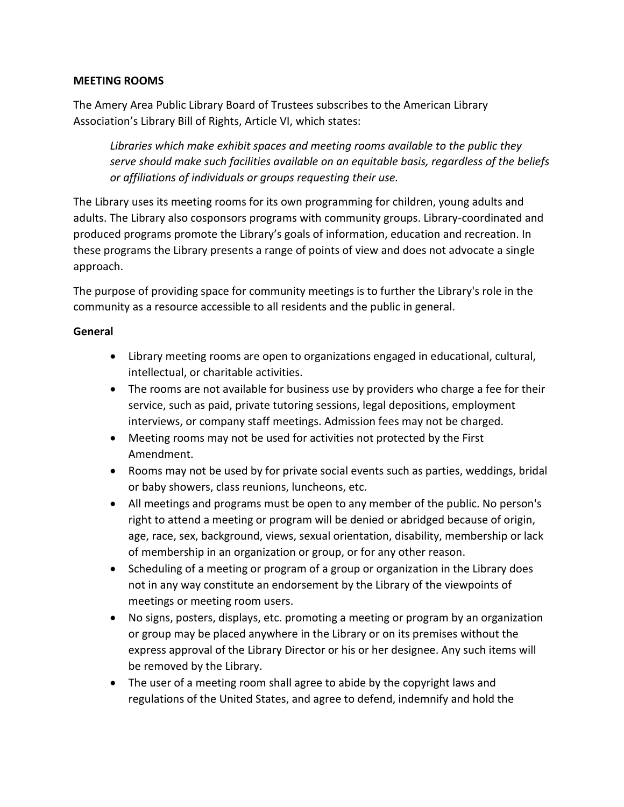## **MEETING ROOMS**

The Amery Area Public Library Board of Trustees subscribes to the American Library Association's Library Bill of Rights, Article VI, which states:

*Libraries which make exhibit spaces and meeting rooms available to the public they serve should make such facilities available on an equitable basis, regardless of the beliefs or affiliations of individuals or groups requesting their use.*

The Library uses its meeting rooms for its own programming for children, young adults and adults. The Library also cosponsors programs with community groups. Library-coordinated and produced programs promote the Library's goals of information, education and recreation. In these programs the Library presents a range of points of view and does not advocate a single approach.

The purpose of providing space for community meetings is to further the Library's role in the community as a resource accessible to all residents and the public in general.

## **General**

- Library meeting rooms are open to organizations engaged in educational, cultural, intellectual, or charitable activities.
- The rooms are not available for business use by providers who charge a fee for their service, such as paid, private tutoring sessions, legal depositions, employment interviews, or company staff meetings. Admission fees may not be charged.
- Meeting rooms may not be used for activities not protected by the First Amendment.
- Rooms may not be used by for private social events such as parties, weddings, bridal or baby showers, class reunions, luncheons, etc.
- All meetings and programs must be open to any member of the public. No person's right to attend a meeting or program will be denied or abridged because of origin, age, race, sex, background, views, sexual orientation, disability, membership or lack of membership in an organization or group, or for any other reason.
- Scheduling of a meeting or program of a group or organization in the Library does not in any way constitute an endorsement by the Library of the viewpoints of meetings or meeting room users.
- No signs, posters, displays, etc. promoting a meeting or program by an organization or group may be placed anywhere in the Library or on its premises without the express approval of the Library Director or his or her designee. Any such items will be removed by the Library.
- The user of a meeting room shall agree to abide by the copyright laws and regulations of the United States, and agree to defend, indemnify and hold the